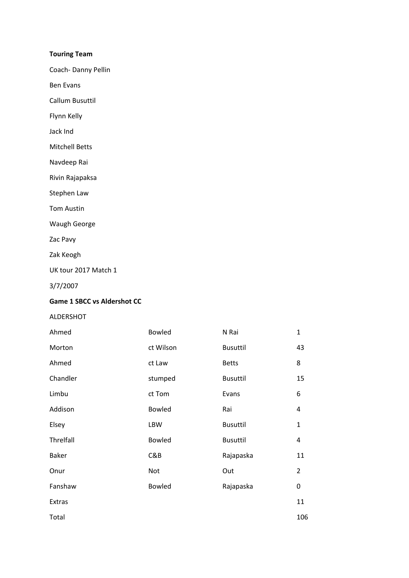## **Touring Team**

Coach‐ Danny Pellin

Ben Evans

Callum Busuttil

Flynn Kelly

Jack Ind

Mitchell Betts

Navdeep Rai

Rivin Rajapaksa

Stephen Law

Tom Austin

Waugh George

Zac Pavy

Zak Keogh

UK tour 2017 Match 1

3/7/2007

### **Game 1 SBCC vs Aldershot CC**

## ALDERSHOT

| Ahmed        | <b>Bowled</b> | N Rai           | $\mathbf{1}$   |
|--------------|---------------|-----------------|----------------|
| Morton       | ct Wilson     | <b>Busuttil</b> | 43             |
| Ahmed        | ct Law        | <b>Betts</b>    | 8              |
| Chandler     | stumped       | <b>Busuttil</b> | 15             |
| Limbu        | ct Tom        | Evans           | 6              |
| Addison      | <b>Bowled</b> | Rai             | 4              |
| Elsey        | LBW           | <b>Busuttil</b> | $\mathbf{1}$   |
| Threlfall    | <b>Bowled</b> | <b>Busuttil</b> | 4              |
| <b>Baker</b> | C&B           | Rajapaska       | 11             |
| Onur         | Not           | Out             | $\overline{2}$ |
| Fanshaw      | <b>Bowled</b> | Rajapaska       | 0              |
| Extras       |               |                 | 11             |
| Total        |               |                 | 106            |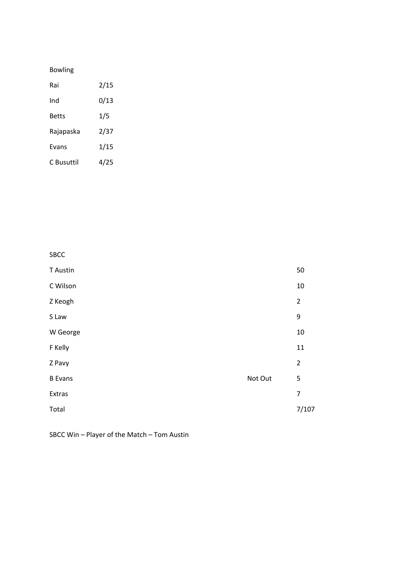## Bowling

| Rai        | 2/15 |
|------------|------|
| Ind        | 0/13 |
| Betts      | 1/5  |
| Rajapaska  | 2/37 |
| Evans      | 1/15 |
| C Busuttil | 4/25 |

SBCC  $\Gamma$  Austin  $\sim$  50 C Wilson 10 Z Keogh 2  $S$  Law  $\overline{S}$ W George 10  $\mathsf F$  Kelly  $\mathsf I$ Z Pavy 2 B Evans **B** Evans  **1999 B** Evans **1999 B** Evans **1999 Not Out** 5 Extras **Extras 12.12 and 22.23 and 22.23 and 23.23 and 23.23 and 23.23 and 23.23 and 23.23 and 23.23 and 23.23 and 23.23 and 23.23 and 23.23 and 23.23 and 23.23 and 23.23 and 23.23 and 23.23 and 23.23 and 23.23 and 23.2**  $\mathsf{Total}$ 

## SBCC Win – Player of the Match – Tom Austin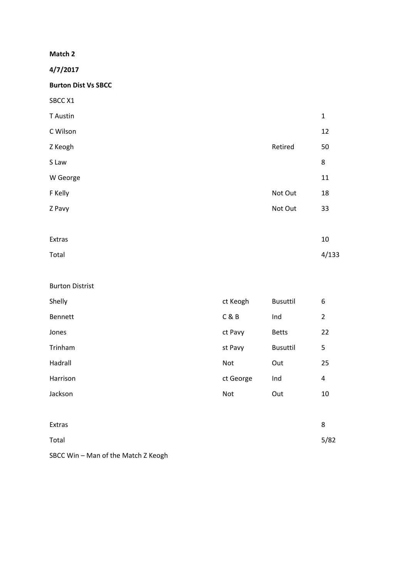**4/7/2017** 

**Burton Dist Vs SBCC** 

| SBCC X1  |         |             |
|----------|---------|-------------|
| T Austin |         | $\mathbf 1$ |
| C Wilson |         | 12          |
| Z Keogh  | Retired | 50          |
| S Law    |         | 8           |
| W George |         | 11          |
| F Kelly  | Not Out | 18          |
| Z Pavy   | Not Out | 33          |
|          |         |             |
| Extras   |         | 10          |
|          |         |             |

| Total | 4/133 |
|-------|-------|
|       |       |

| Shelly   | ct Keogh  | <b>Busuttil</b> | 6              |
|----------|-----------|-----------------|----------------|
| Bennett  | C&B       | Ind             | $\overline{2}$ |
| Jones    | ct Pavy   | <b>Betts</b>    | 22             |
| Trinham  | st Pavy   | <b>Busuttil</b> | 5              |
| Hadrall  | Not       | Out             | 25             |
| Harrison | ct George | Ind             | $\pmb{4}$      |
| Jackson  | Not       | Out             | 10             |
|          |           |                 |                |
| Extras   |           |                 | 8              |

| 5/82 |
|------|
|      |

# SBCC Win – Man of the Match Z Keogh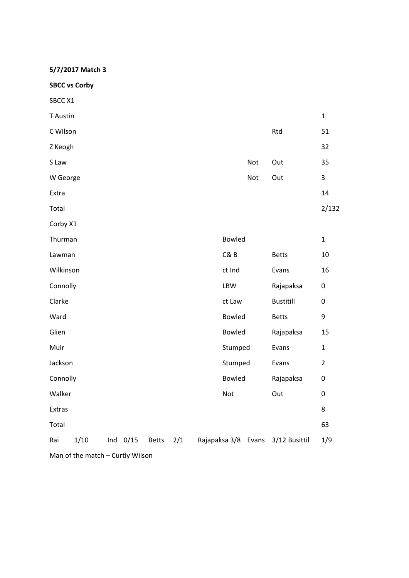**5/7/2017 Match 3** 

**SBCC vs Corby** 

| SBCC X1   |                                  |            |              |     |               |            |                                   |                |
|-----------|----------------------------------|------------|--------------|-----|---------------|------------|-----------------------------------|----------------|
| T Austin  |                                  |            |              |     |               |            |                                   | $\mathbf{1}$   |
| C Wilson  |                                  |            |              |     |               |            | Rtd                               | 51             |
| Z Keogh   |                                  |            |              |     |               |            |                                   | 32             |
| S Law     |                                  |            |              |     |               | Not        | Out                               | 35             |
| W George  |                                  |            |              |     |               | <b>Not</b> | Out                               | 3              |
| Extra     |                                  |            |              |     |               |            |                                   | 14             |
| Total     |                                  |            |              |     |               |            |                                   | 2/132          |
| Corby X1  |                                  |            |              |     |               |            |                                   |                |
| Thurman   |                                  |            |              |     | <b>Bowled</b> |            |                                   | $\mathbf{1}$   |
| Lawman    |                                  |            |              |     | C&B           |            | <b>Betts</b>                      | 10             |
| Wilkinson |                                  |            |              |     | ct Ind        |            | Evans                             | 16             |
| Connolly  |                                  |            |              |     | LBW           |            | Rajapaksa                         | 0              |
| Clarke    |                                  |            |              |     | ct Law        |            | <b>Bustitill</b>                  | $\pmb{0}$      |
| Ward      |                                  |            |              |     | <b>Bowled</b> |            | <b>Betts</b>                      | 9              |
| Glien     |                                  |            |              |     | Bowled        |            | Rajapaksa                         | 15             |
| Muir      |                                  |            |              |     | Stumped       |            | Evans                             | $\mathbf{1}$   |
| Jackson   |                                  |            |              |     | Stumped       |            | Evans                             | $\overline{2}$ |
| Connolly  |                                  |            |              |     | Bowled        |            | Rajapaksa                         | $\pmb{0}$      |
| Walker    |                                  |            |              |     | Not           |            | Out                               | $\pmb{0}$      |
| Extras    |                                  |            |              |     |               |            |                                   | 8              |
| Total     |                                  |            |              |     |               |            |                                   | 63             |
| Rai       | 1/10                             | Ind $0/15$ | <b>Betts</b> | 2/1 |               |            | Rajapaksa 3/8 Evans 3/12 Busittil | 1/9            |
|           | Man of the match - Curtly Wilson |            |              |     |               |            |                                   |                |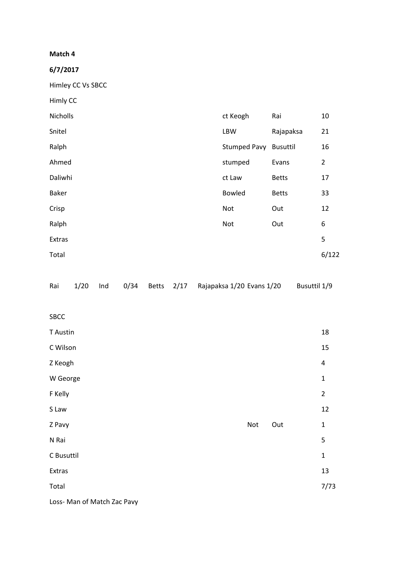**6/7/2017** 

Himley CC Vs SBCC

| Himly CC     |                       |              |                |
|--------------|-----------------------|--------------|----------------|
| Nicholls     | ct Keogh              | Rai          | 10             |
| Snitel       | LBW                   | Rajapaksa    | 21             |
| Ralph        | Stumped Pavy Busuttil |              | 16             |
| Ahmed        | stumped               | Evans        | $\overline{2}$ |
| Daliwhi      | ct Law                | <b>Betts</b> | 17             |
| <b>Baker</b> | <b>Bowled</b>         | <b>Betts</b> | 33             |
| Crisp        | Not                   | Out          | 12             |
| Ralph        | Not                   | Out          | 6              |
| Extras       |                       |              | 5              |
| Total        |                       |              | 6/122          |
|              |                       |              |                |

|  |  |  |  |  |  | Rai 1/20 Ind 0/34 Betts 2/17 Rajapaksa 1/20 Evans 1/20 Busuttil 1/9 |  |
|--|--|--|--|--|--|---------------------------------------------------------------------|--|
|--|--|--|--|--|--|---------------------------------------------------------------------|--|

SBCC

| T Austin                    |     |     | 18             |
|-----------------------------|-----|-----|----------------|
| C Wilson                    |     |     | 15             |
| Z Keogh                     |     |     | 4              |
| W George                    |     |     | $\mathbf 1$    |
| F Kelly                     |     |     | $\overline{2}$ |
| S Law                       |     |     | 12             |
| Z Pavy                      | Not | Out | $\mathbf{1}$   |
| N Rai                       |     |     | 5              |
| C Busuttil                  |     |     | $\mathbf{1}$   |
| Extras                      |     |     | 13             |
| Total                       |     |     | 7/73           |
| Loss- Man of Match Zac Pavy |     |     |                |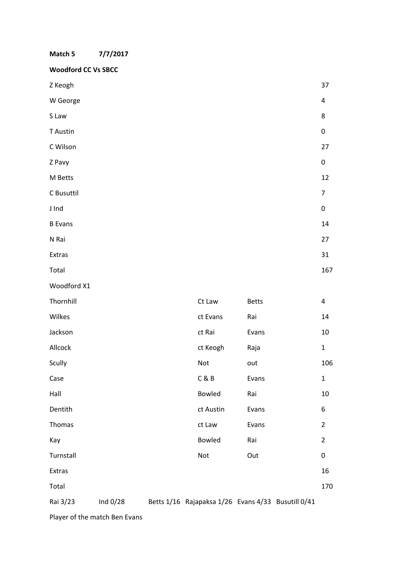| Match 5                    | 7/7/2017   |  |               |              |                                                    |                |
|----------------------------|------------|--|---------------|--------------|----------------------------------------------------|----------------|
| <b>Woodford CC Vs SBCC</b> |            |  |               |              |                                                    |                |
| Z Keogh                    |            |  |               |              |                                                    | 37             |
| W George                   |            |  |               |              |                                                    | 4              |
| S Law                      |            |  |               |              |                                                    | 8              |
| T Austin                   |            |  |               |              |                                                    | 0              |
| C Wilson                   |            |  |               |              |                                                    | 27             |
| Z Pavy                     |            |  |               |              |                                                    | 0              |
| M Betts                    |            |  |               |              |                                                    | 12             |
| C Busuttil                 |            |  |               |              |                                                    | 7              |
| J Ind                      |            |  |               |              |                                                    | 0              |
| <b>B</b> Evans             |            |  |               |              |                                                    | 14             |
| N Rai                      |            |  |               |              |                                                    | 27             |
| Extras                     |            |  |               |              |                                                    | 31             |
| Total                      |            |  |               |              |                                                    | 167            |
| Woodford X1                |            |  |               |              |                                                    |                |
| Thornhill                  |            |  | Ct Law        | <b>Betts</b> |                                                    | 4              |
| Wilkes                     |            |  | ct Evans      | Rai          |                                                    | 14             |
| Jackson                    |            |  | ct Rai        | Evans        |                                                    | 10             |
| Allcock                    |            |  | ct Keogh      | Raja         |                                                    | $\mathbf{1}$   |
| Scully                     |            |  | Not           | out          |                                                    | 106            |
| Case                       |            |  | C & B         | Evans        |                                                    | $\mathbf{1}$   |
| Hall                       |            |  | Bowled        | Rai          |                                                    | 10             |
| Dentith                    |            |  | ct Austin     | Evans        |                                                    | 6              |
| Thomas                     |            |  | ct Law        | Evans        |                                                    | $\overline{2}$ |
| Kay                        |            |  | <b>Bowled</b> | Rai          |                                                    | $\overline{2}$ |
| Turnstall                  |            |  | Not           | Out          |                                                    | 0              |
| Extras                     |            |  |               |              |                                                    | 16             |
| Total                      |            |  |               |              |                                                    | 170            |
| Rai 3/23                   | Ind $0/28$ |  |               |              | Betts 1/16 Rajapaksa 1/26 Evans 4/33 Busutill 0/41 |                |

Player of the match Ben Evans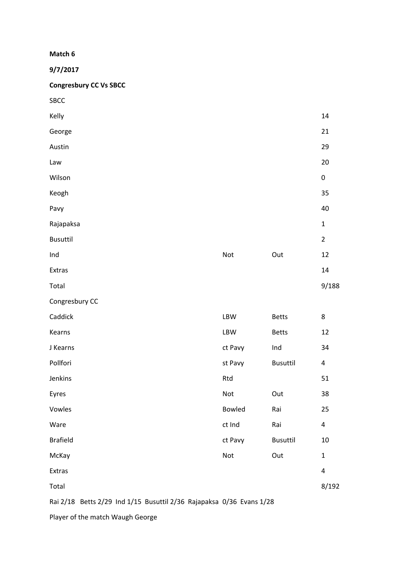**9/7/2017** 

**Congresbury CC Vs SBCC** 

| <b>SBCC</b>                                                          |         |                 |                |
|----------------------------------------------------------------------|---------|-----------------|----------------|
| Kelly                                                                |         |                 | 14             |
| George                                                               |         |                 | 21             |
| Austin                                                               |         |                 | 29             |
| Law                                                                  |         |                 | 20             |
| Wilson                                                               |         |                 | $\pmb{0}$      |
| Keogh                                                                |         |                 | 35             |
| Pavy                                                                 |         |                 | 40             |
| Rajapaksa                                                            |         |                 | $\mathbf 1$    |
| <b>Busuttil</b>                                                      |         |                 | $\overline{2}$ |
| Ind                                                                  | Not     | Out             | 12             |
| Extras                                                               |         |                 | 14             |
| Total                                                                |         |                 | 9/188          |
| Congresbury CC                                                       |         |                 |                |
| Caddick                                                              | LBW     | <b>Betts</b>    | 8              |
| Kearns                                                               | LBW     | <b>Betts</b>    | 12             |
| J Kearns                                                             | ct Pavy | Ind             | 34             |
| Pollfori                                                             | st Pavy | <b>Busuttil</b> | 4              |
| Jenkins                                                              | Rtd     |                 | 51             |
| Eyres                                                                | Not     | Out             | 38             |
| Vowles                                                               | Bowled  | Rai             | 25             |
| Ware                                                                 | ct Ind  | Rai             | 4              |
| <b>Brafield</b>                                                      | ct Pavy | <b>Busuttil</b> | 10             |
| McKay                                                                | Not     | Out             | $\mathbf{1}$   |
| Extras                                                               |         |                 | 4              |
| Total                                                                |         |                 | 8/192          |
| Rai 2/18 Betts 2/29 Ind 1/15 Busuttil 2/36 Rajapaksa 0/36 Evans 1/28 |         |                 |                |

Player of the match Waugh George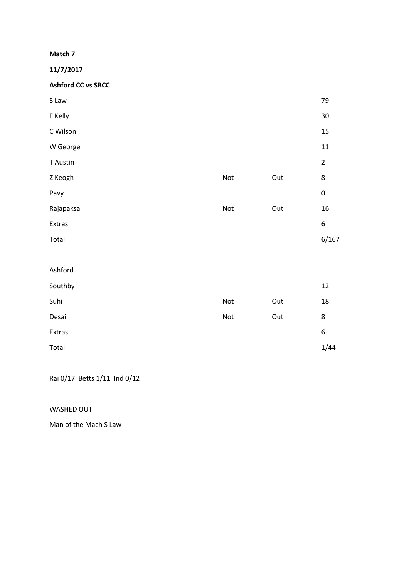**11/7/2017** 

**Ashford CC vs SBCC** 

| S Law     |     |     | 79             |
|-----------|-----|-----|----------------|
| F Kelly   |     |     | $30\,$         |
| C Wilson  |     |     | 15             |
| W George  |     |     | $11\,$         |
| T Austin  |     |     | $\overline{2}$ |
| Z Keogh   | Not | Out | 8              |
| Pavy      |     |     | $\pmb{0}$      |
| Rajapaksa | Not | Out | 16             |
| Extras    |     |     | 6              |
| Total     |     |     | 6/167          |
|           |     |     |                |
| Ashford   |     |     |                |
| Southby   |     |     | 12             |
| Suhi      | Not | Out | $18\,$         |
| Desai     | Not | Out | 8              |
| Extras    |     |     | 6              |
| Total     |     |     | 1/44           |

Rai 0/17 Betts 1/11 Ind 0/12

WASHED OUT

Man of the Mach S Law